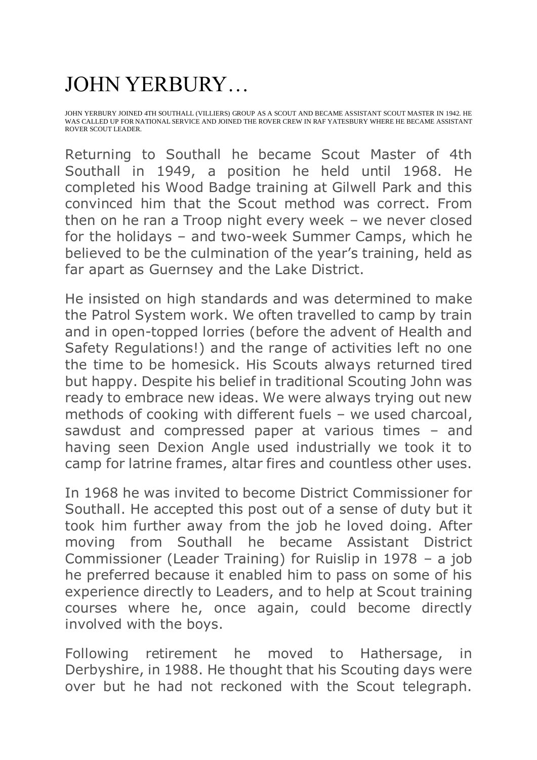## JOHN YERBURY…

JOHN YERBURY JOINED 4TH SOUTHALL (VILLIERS) GROUP AS A SCOUT AND BECAME ASSISTANT SCOUT MASTER IN 1942. HE WAS CALLED UP FOR NATIONAL SERVICE AND JOINED THE ROVER CREW IN RAF YATESBURY WHERE HE BECAME ASSISTANT ROVER SCOUT LEADER.

Returning to Southall he became Scout Master of 4th Southall in 1949, a position he held until 1968. He completed his Wood Badge training at Gilwell Park and this convinced him that the Scout method was correct. From then on he ran a Troop night every week – we never closed for the holidays – and two-week Summer Camps, which he believed to be the culmination of the year's training, held as far apart as Guernsey and the Lake District.

He insisted on high standards and was determined to make the Patrol System work. We often travelled to camp by train and in open-topped lorries (before the advent of Health and Safety Regulations!) and the range of activities left no one the time to be homesick. His Scouts always returned tired but happy. Despite his belief in traditional Scouting John was ready to embrace new ideas. We were always trying out new methods of cooking with different fuels – we used charcoal, sawdust and compressed paper at various times – and having seen Dexion Angle used industrially we took it to camp for latrine frames, altar fires and countless other uses.

In 1968 he was invited to become District Commissioner for Southall. He accepted this post out of a sense of duty but it took him further away from the job he loved doing. After moving from Southall he became Assistant District Commissioner (Leader Training) for Ruislip in 1978 – a job he preferred because it enabled him to pass on some of his experience directly to Leaders, and to help at Scout training courses where he, once again, could become directly involved with the boys.

Following retirement he moved to Hathersage, in Derbyshire, in 1988. He thought that his Scouting days were over but he had not reckoned with the Scout telegraph.